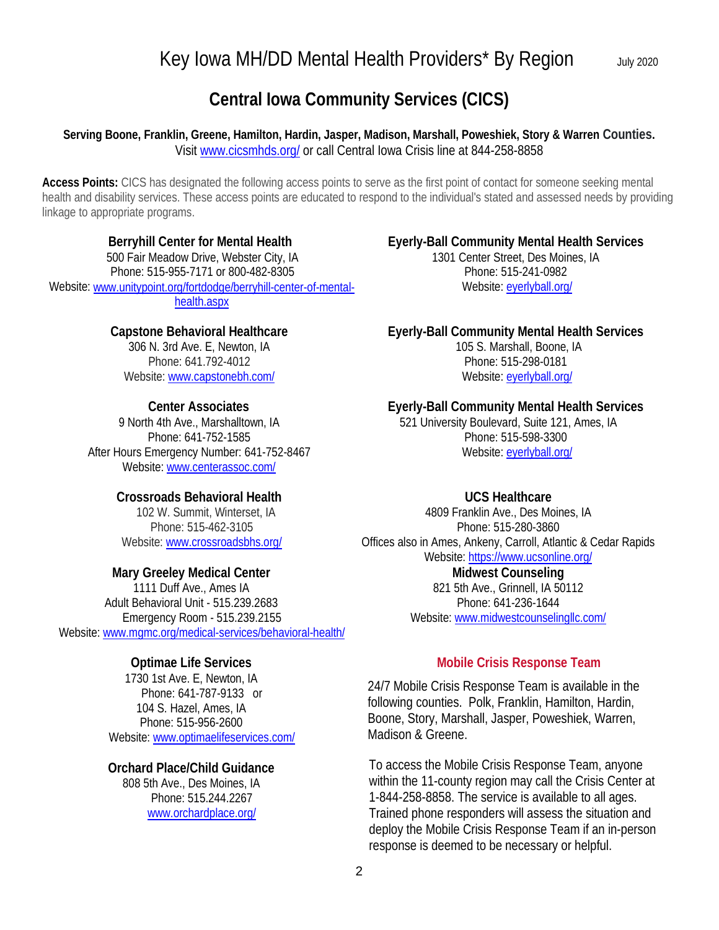# Key Iowa MH/DD Mental Health Providers\* By Region July 2020

## **Central Iowa Community Services (CICS)**

#### **Serving Boone, Franklin, Greene, Hamilton, Hardin, Jasper, Madison, Marshall, Poweshiek, Story & Warren Counties.**  Visit [www.cicsmhds.org/](http://www.cicsmhds.org/) or call Central Iowa Crisis line at 844-258-8858

**Access Points:** CICS has designated the following access points to serve as the first point of contact for someone seeking mental health and disability services. These access points are educated to respond to the individual's stated and assessed needs by providing linkage to appropriate programs.

**Berryhill Center for Mental Health** 500 Fair Meadow Drive, Webster City, IA Phone: 515-955-7171 or 800-482-8305 Website[: www.unitypoint.org/fortdodge/berryhill-center-of-mental](http://www.unitypoint.org/fortdodge/berryhill-center-of-mental-health.aspx)[health.aspx](http://www.unitypoint.org/fortdodge/berryhill-center-of-mental-health.aspx)

#### **Capstone Behavioral Healthcare**

306 N. 3rd Ave. E, Newton, IA Phone: 641.792-4012 Website: [www.capstonebh.com/](http://www.capstonebh.com/)

#### **Center Associates**

9 North 4th Ave., Marshalltown, IA Phone: [641-752-1585](tel:+16417521585) After Hours Emergency Number: 641-752-8467 Website: [www.centerassoc.com/](http://www.centerassoc.com/)

#### **Crossroads Behavioral Health**

102 W. Summit, Winterset, IA Phone: 515-462-3105 Website: [www.crossroadsbhs.org/](http://www.crossroadsbhs.org/)

#### **Mary Greeley Medical Center**

1111 Duff Ave., Ames IA [Adult Behavioral Unit -](tel:+15152392683) 515.239.2683 [Emergency Room -](tel:+15152392155) 515.239.2155 Website[: www.mgmc.org/medical-services/behavioral-health/](http://www.mgmc.org/medical-services/behavioral-health/)

#### **Optimae Life Services**

1730 1st Ave. E, Newton, IA Phone[: 641-787-9133](tel:+16417879133) or 104 S. Hazel, Ames, IA Phone: [515-956-2600](tel:+15159562600) Website: [www.optimaelifeservices.com/](http://www.optimaelifeservices.com/)

#### **Orchard Place/Child Guidance**

808 5th Ave., Des Moines, IA Phone: [515.244.2267](tel:+15152442267) [www.orchardplace.org/](http://www.orchardplace.org/)

## **Eyerly-Ball Community Mental Health Services**

1301 Center Street, Des Moines, IA Phone: 515-241-0982 Website: [eyerlyball.org/](http://eyerlyball.org/)

#### **Eyerly-Ball Community Mental Health Services**

105 S. Marshall, Boone, IA Phone[: 515-298-0181](tel:+15152980181) Website: [eyerlyball.org/](http://eyerlyball.org/)

#### **Eyerly-Ball Community Mental Health Services**

521 University Boulevard, Suite 121, Ames, IA Phone[: 515-598-3300](tel:+15155983300) Website: [eyerlyball.org/](http://eyerlyball.org/)

### **UCS Healthcare**

4809 Franklin Ave., Des Moines, IA Phone: 515-280-3860 Offices also in Ames, Ankeny, Carroll, Atlantic & Cedar Rapids Website:<https://www.ucsonline.org/> **Midwest Counseling**  821 5th Ave., Grinnell, IA 50112 Phone: [641-236-1644](tel:+13196681217) Website: [www.midwestcounselingllc.com/](http://www.midwestcounselingllc.com/)

**Mobile Crisis Response Team**

24/7 Mobile Crisis Response Team is available in the following counties. Polk, Franklin, Hamilton, Hardin, Boone, Story, Marshall, Jasper, Poweshiek, Warren, Madison & Greene.

To access the Mobile Crisis Response Team, anyone within the 11-county region may call the Crisis Center at 1-844-258-8858. The service is available to all ages. Trained phone responders will assess the situation and deploy the Mobile Crisis Response Team if an in-person response is deemed to be necessary or helpful.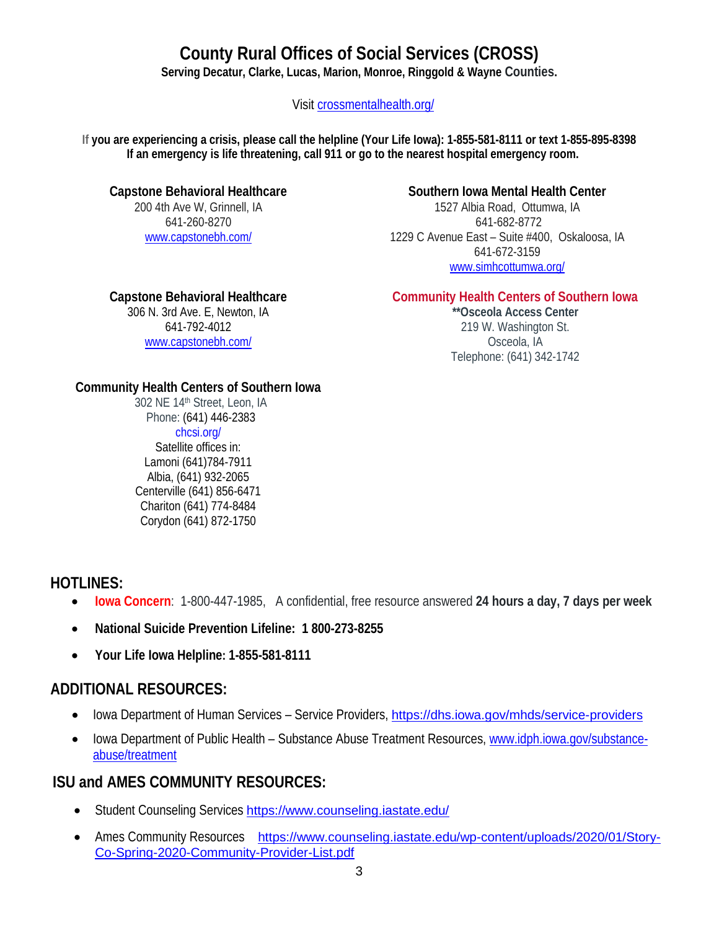# **County Rural Offices of Social Services (CROSS)**

**Serving Decatur, Clarke, Lucas, Marion, Monroe, Ringgold & Wayne Counties.**

Visit [crossmentalhealth.org/](https://crossmentalhealth.org/)

**If you are experiencing a crisis, please call the helpline (Your Life Iowa): 1-855-581-8111 or text 1-855-895-8398 If an emergency is life threatening, call 911 or go to the nearest hospital emergency room.**

#### **Capstone Behavioral Healthcare**

200 4th Ave W, Grinnell, IA 641-260-8270 [www.capstonebh.com/](http://www.capstonebh.com/)

## **Southern Iowa Mental Health Center**

1527 Albia Road, Ottumwa, IA 641-682-8772 1229 C Avenue East – Suite #400, Oskaloosa, IA 641-672-3159 [www.simhcottumwa.org/](http://www.simhcottumwa.org/)

## **Capstone Behavioral Healthcare**

306 N. 3rd Ave. E, Newton, IA [641-792-4012](tel:+16417924012) [www.capstonebh.com/](http://www.capstonebh.com/)

## **Community Health Centers of Southern Iowa**

**\*\*Osceola Access Center** 219 W. Washington St. Osceola, IA Telephone: (641) 342-1742

## **Community Health Centers of Southern Iowa**

302 NE 14th Street, Leon, IA Phone: (641) 446-2383 [chcsi.org/](http://chcsi.org/) Satellite offices in: Lamoni (641)784-7911 Albia, (641) 932-2065 Centerville (641) 856-6471 Chariton (641) 774-8484 Corydon (641) 872-1750

## **HOTLINES:**

- **[Iowa Concern](https://www.extension.iastate.edu/iowaconcern/)**: 1-800-447-1985, A confidential, free resource answered **24 hours a day, 7 days per week**
- **National Suicide Prevention Lifeline: 1 800-273-8255**
- **Your Life Iowa Helpline: 1-855-581-8111**

## **ADDITIONAL RESOURCES:**

- Iowa Department of Human Services Service Providers, <https://dhs.iowa.gov/mhds/service-providers>
- Iowa Department of Public Health Substance Abuse Treatment Resources[, www.idph.iowa.gov/substance](http://www.idph.iowa.gov/substance-abuse/treatment)[abuse/treatment](http://www.idph.iowa.gov/substance-abuse/treatment)

## **ISU and AMES COMMUNITY RESOURCES:**

- Student Counseling Services <https://www.counseling.iastate.edu/>
- Ames Community Resources [https://www.counseling.iastate.edu/wp-content/uploads/2020/01/Story-](https://www.counseling.iastate.edu/wp-content/uploads/2020/01/Story-Co-Spring-2020-Community-Provider-List.pdf)[Co-Spring-2020-Community-Provider-List.pdf](https://www.counseling.iastate.edu/wp-content/uploads/2020/01/Story-Co-Spring-2020-Community-Provider-List.pdf)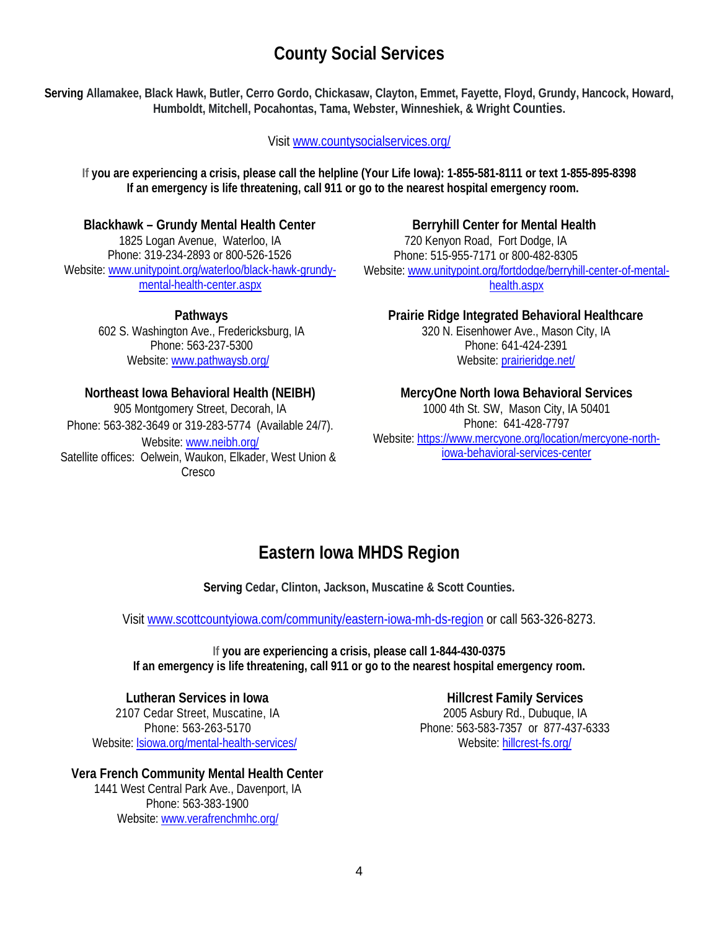# **County Social Services**

**Serving Allamakee, Black Hawk, Butler, Cerro Gordo, Chickasaw, Clayton, Emmet, Fayette, Floyd, Grundy, Hancock, Howard, Humboldt, Mitchell, Pocahontas, Tama, Webster, Winneshiek, & Wright Counties.**

Visit [www.countysocialservices.org/](http://www.countysocialservices.org/)

**If you are experiencing a crisis, please call the helpline (Your Life Iowa): 1-855-581-8111 or text 1-855-895-8398 If an emergency is life threatening, call 911 or go to the nearest hospital emergency room.**

**Blackhawk – Grundy Mental Health Center**

1825 Logan Avenue, Waterloo, IA Phone: 319-234-2893 or 800-526-1526 Website: [www.unitypoint.org/waterloo/black-hawk-grundy](http://www.unitypoint.org/waterloo/black-hawk-grundy-mental-health-center.aspx)[mental-health-center.aspx](http://www.unitypoint.org/waterloo/black-hawk-grundy-mental-health-center.aspx)

> **Pathways** 602 S. Washington Ave., Fredericksburg, IA Phone: 563-237-5300 Website: [www.pathwaysb.org/](http://www.pathwaysb.org/)

## **Northeast Iowa Behavioral Health (NEIBH)**

905 Montgomery Street, Decorah, IA Phone: 563-382-3649 or 319-283-5774 (Available 24/7). Website: [www.neibh.org/](http://www.neibh.org/) Satellite offices: Oelwein, Waukon, Elkader, West Union & Cresco

**Berryhill Center for Mental Health** 720 Kenyon Road, Fort Dodge, IA Phone: 515-955-7171 or 800-482-8305 Website[: www.unitypoint.org/fortdodge/berryhill-center-of-mental](http://www.unitypoint.org/fortdodge/berryhill-center-of-mental-health.aspx)[health.aspx](http://www.unitypoint.org/fortdodge/berryhill-center-of-mental-health.aspx)

**Prairie Ridge Integrated Behavioral Healthcare**

320 N. Eisenhower Ave., Mason City, IA Phone: 641-424-2391 Website: [prairieridge.net/](http://prairieridge.net/)

## **MercyOne North Iowa Behavioral Services**

1000 4th St. SW, Mason City, IA 50401 Phone: 641-428-7797 Website[: https://www.mercyone.org/location/mercyone-north](https://www.mercyone.org/location/mercyone-north-iowa-behavioral-services-center)[iowa-behavioral-services-center](https://www.mercyone.org/location/mercyone-north-iowa-behavioral-services-center)

# **Eastern Iowa MHDS Region**

**Serving Cedar, Clinton, Jackson, Muscatine & Scott Counties.**

Visit [www.scottcountyiowa.com/community/eastern-iowa-mh-ds-region](http://www.scottcountyiowa.com/community/eastern-iowa-mh-ds-region) or call 563-326-8273.

**If you are experiencing a crisis, please call 1-844-430-0375 If an emergency is life threatening, call 911 or go to the nearest hospital emergency room.**

**Lutheran Services in Iowa** 2107 Cedar Street, Muscatine, IA Phone: 563-263-5170 Website: [lsiowa.org/mental-health-services/](https://lsiowa.org/mental-health-services/)

**Vera French Community Mental Health Center** 1441 West Central Park Ave., Davenport, IA Phone: 563-383-1900 Website[: www.verafrenchmhc.org/](http://www.verafrenchmhc.org/)

**Hillcrest Family Services** 2005 Asbury Rd., Dubuque, IA Phone: 563-583-7357 or 877-437-6333 Website: [hillcrest-fs.org/](http://hillcrest-fs.org/)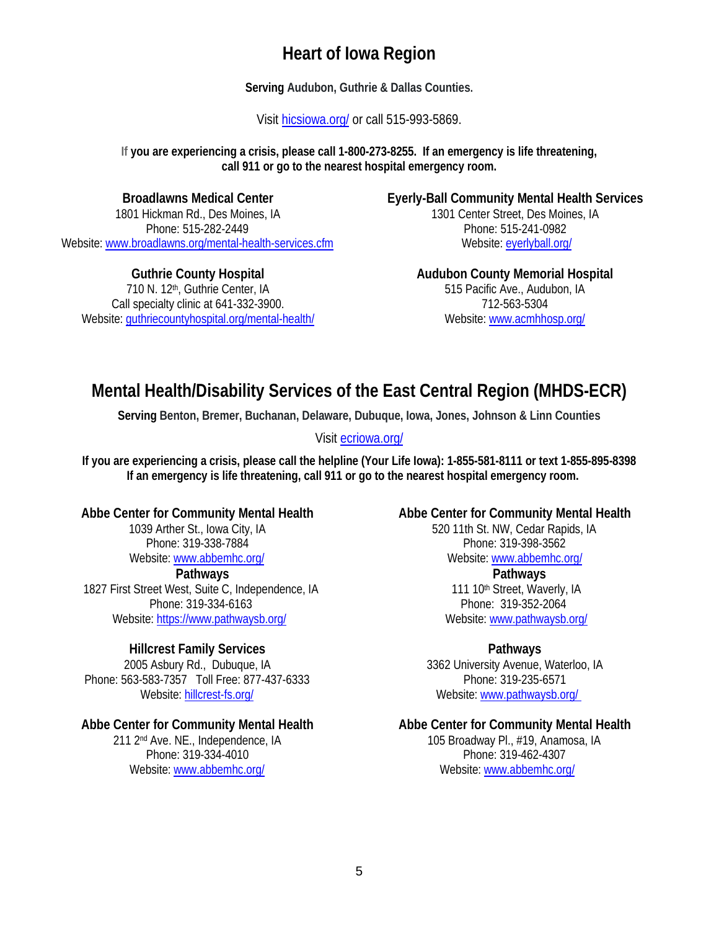## **Heart of Iowa Region**

**Serving Audubon, Guthrie & Dallas Counties.**

Visit [hicsiowa.org/](http://hicsiowa.org/) or call 515-993-5869.

**If you are experiencing a crisis, please call 1-800-273-8255. If an emergency is life threatening, call 911 or go to the nearest hospital emergency room.**

## **Broadlawns Medical Center**

1801 Hickman Rd., Des Moines, IA Phone: 515-282-2449 Website: [www.broadlawns.org/mental-health-services.cfm](http://www.broadlawns.org/mental-health-services.cfm)

**Guthrie County Hospital**  710 N. 12<sup>th</sup>, Guthrie Center, IA Call specialty clinic at 641-332-3900. Website: [guthriecountyhospital.org/mental-health/](https://guthriecountyhospital.org/mental-health/) **Eyerly-Ball Community Mental Health Services** 1301 Center Street, Des Moines, IA Phone: 515-241-0982 Website: [eyerlyball.org/](http://eyerlyball.org/)

> **Audubon County Memorial Hospital** 515 Pacific Ave., Audubon, IA 712-563-5304 Website[: www.acmhhosp.org/](http://www.acmhhosp.org/)

# **Mental Health/Disability Services of the East Central Region (MHDS-ECR)**

**Serving Benton, Bremer, Buchanan, Delaware, Dubuque, Iowa, Jones, Johnson & Linn Counties**

Visit [ecriowa.org/](https://ecriowa.org/)

**If you are experiencing a crisis, please call the helpline (Your Life Iowa): 1-855-581-8111 or text 1-855-895-8398 If an emergency is life threatening, call 911 or go to the nearest hospital emergency room.**

## **Abbe Center for Community Mental Health**

1039 Arther St., Iowa City, IA Phone: 319-338-7884 Website: [www.abbemhc.org/](http://www.abbemhc.org/)

**Pathways**  1827 First Street West, Suite C, Independence, IA Phone: 319-334-6163 Website[: https://www.pathwaysb.org/](https://www.pathwaysb.org/)

## **Hillcrest Family Services**

2005 Asbury Rd., Dubuque, IA Phone: 563-583-7357 Toll Free: 877-437-6333 Website: [hillcrest-fs.org/](http://hillcrest-fs.org/)

## **Abbe Center for Community Mental Health**

211 2nd Ave. NE., Independence, IA Phone: 319-334-4010 Website: [www.abbemhc.org/](http://www.abbemhc.org/)

## **Abbe Center for Community Mental Health**

[520 11th St. NW, Cedar Rapids, IA](https://www.google.com/maps/search/?api=1&query=520%2011th%20St%20NW%2C%20Cedar%20Rapids%2C%20IA%2052405)  Phone: 319-398-3562 Website: [www.abbemhc.org/](http://www.abbemhc.org/) **Pathways** 

111 10<sup>th</sup> Street, Waverly, IA Phone: 319-352-2064 Website: [www.pathwaysb.org/](http://www.pathwaysb.org/)

## **Pathways**

3362 University Avenue, Waterloo, IA Phone: 319-235-6571 Website: [www.pathwaysb.org/](http://www.pathwaysb.org/) 

#### **Abbe Center for Community Mental Health**

[105 Broadway Pl., #19, Anamosa, IA](https://www.google.com/maps/search/?api=1&query=520%2011th%20St%20NW%2C%20Cedar%20Rapids%2C%20IA%2052405)  Phone: 319-462-4307 Website: [www.abbemhc.org/](http://www.abbemhc.org/)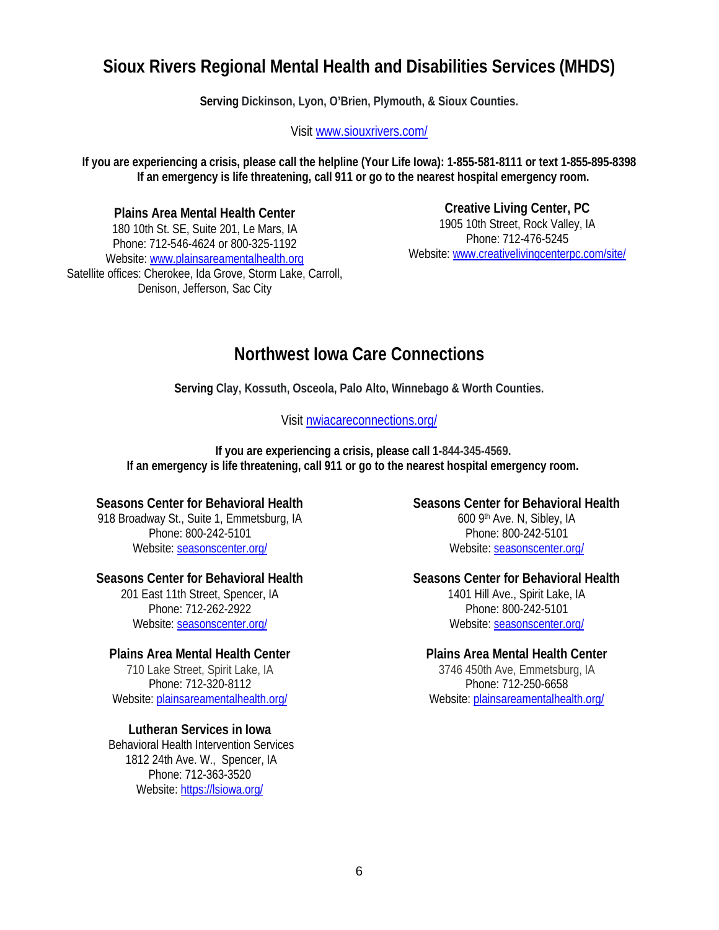## **Sioux Rivers Regional Mental Health and Disabilities Services (MHDS)**

**Serving Dickinson, Lyon, O'Brien, Plymouth, & Sioux Counties.** 

Visit [www.siouxrivers.com/](http://www.siouxrivers.com/)

**If you are experiencing a crisis, please call the helpline (Your Life Iowa): 1-855-581-8111 or text 1-855-895-8398 If an emergency is life threatening, call 911 or go to the nearest hospital emergency room.**

**Plains Area Mental Health Center** 180 10th St. SE, Suite 201, Le Mars, IA Phone: 712-546-4624 or 800-325-1192 Website: [www.plainsareamentalhealth.org](http://www.plainsareamentalhealth.org/) Satellite offices: Cherokee, Ida Grove, Storm Lake, Carroll,

Denison, Jefferson, Sac City

**Creative Living Center, PC** 1905 10th Street, Rock Valley, IA Phone: 712-476-5245 Website: [www.creativelivingcenterpc.com/site/](http://www.creativelivingcenterpc.com/site/)

## **Northwest Iowa Care Connections**

**Serving Clay, Kossuth, Osceola, Palo Alto, Winnebago & Worth Counties.**

## Visit [nwiacareconnections.org/](http://nwiacareconnections.org/)

**If you are experiencing a crisis, please call 1-844-345-4569. If an emergency is life threatening, call 911 or go to the nearest hospital emergency room.**

## **Seasons Center for Behavioral Health**

918 Broadway St., Suite 1, Emmetsburg, IA Phone: 800-242-5101 Website: [seasonscenter.org/](https://seasonscenter.org/)

#### **Seasons Center for Behavioral Health**

201 East 11th Street, Spencer, IA Phone: 712-262-2922 Website: [seasonscenter.org/](https://seasonscenter.org/)

## **Plains Area Mental Health Center**

710 Lake Street, Spirit Lake, IA Phone: 712-320-8112 Website: [plainsareamentalhealth.org/](https://plainsareamentalhealth.org/)

#### **Lutheran Services in Iowa**

Behavioral Health Intervention Services 1812 24th Ave. W., Spencer, IA Phone: 712-363-3520 Website:<https://lsiowa.org/>

**Seasons Center for Behavioral Health** 600 9th Ave. N, Sibley, IA Phone: 800-242-5101 Website[: seasonscenter.org/](https://seasonscenter.org/)

#### **Seasons Center for Behavioral Health**

1401 Hill Ave., Spirit Lake, IA Phone: 800-242-5101 Website[: seasonscenter.org/](https://seasonscenter.org/)

#### **Plains Area Mental Health Center**

3746 450th Ave, Emmetsburg, IA Phone: 712-250-6658 Website: [plainsareamentalhealth.org/](https://plainsareamentalhealth.org/)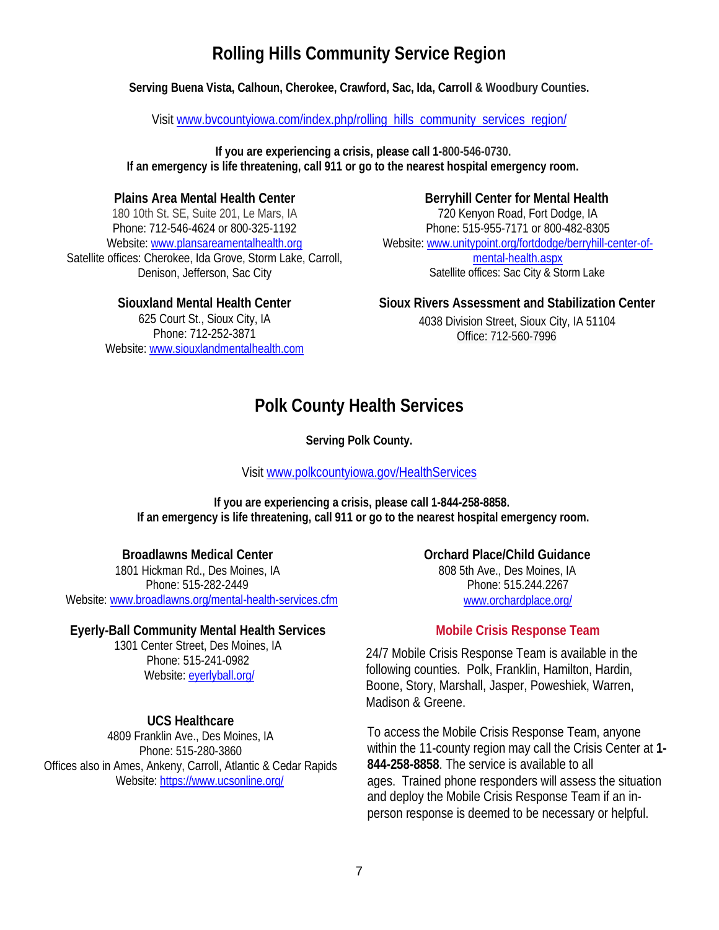# **Rolling Hills Community Service Region**

**Serving Buena Vista, Calhoun, Cherokee, Crawford, Sac, Ida, Carroll & Woodbury Counties.** 

Visit [www.bvcountyiowa.com/index.php/rolling\\_hills\\_community\\_services\\_region/](http://www.bvcountyiowa.com/index.php/rolling_hills_community_services_region/)

**If you are experiencing a crisis, please call 1-800-546-0730. If an emergency is life threatening, call 911 or go to the nearest hospital emergency room.**

#### **Plains Area Mental Health Center**

180 10th St. SE, Suite 201, Le Mars, IA Phone: 712-546-4624 or 800-325-1192 Website[: www.plansareamentalhealth.org](http://www.plansareamentalhealth.org/) Satellite offices: Cherokee, Ida Grove, Storm Lake, Carroll, Denison, Jefferson, Sac City

#### Website[: www.unitypoint.org/fortdodge/berryhill-center-of](http://www.unitypoint.org/fortdodge/berryhill-center-of-mental-health.aspx)[mental-health.aspx](http://www.unitypoint.org/fortdodge/berryhill-center-of-mental-health.aspx)

Satellite offices: Sac City & Storm Lake

#### **Siouxland Mental Health Center**

625 Court St., Sioux City, IA Phone: 712-252-3871 Website: [www.siouxlandmentalhealth.com](http://www.siouxlandmentalhealth.com/) **Sioux Rivers Assessment and Stabilization Center**

**Berryhill Center for Mental Health** 720 Kenyon Road, Fort Dodge, IA Phone: 515-955-7171 or 800-482-8305

4038 Division Street, Sioux City, IA 51104 Office: 712-560-7996

## **Polk County Health Services**

**Serving Polk County.**

Visit [www.polkcountyiowa.gov/HealthServices](http://www.polkcountyiowa.gov/HealthServices)

**If you are experiencing a crisis, please call 1-844-258-8858. If an emergency is life threatening, call 911 or go to the nearest hospital emergency room.**

#### **Broadlawns Medical Center**

1801 Hickman Rd., Des Moines, IA Phone: 515-282-2449 Website[: www.broadlawns.org/mental-health-services.cfm](http://www.broadlawns.org/mental-health-services.cfm)

#### **Eyerly-Ball Community Mental Health Services**

1301 Center Street, Des Moines, IA Phone: 515-241-0982 Website: [eyerlyball.org/](http://eyerlyball.org/)

## **UCS Healthcare**

4809 Franklin Ave., Des Moines, IA Phone: 515-280-3860 Offices also in Ames, Ankeny, Carroll, Atlantic & Cedar Rapids Website:<https://www.ucsonline.org/>

**Orchard Place/Child Guidance**  808 5th Ave., Des Moines, IA Phone: [515.244.2267](tel:+15152442267) [www.orchardplace.org/](http://www.orchardplace.org/)

## **Mobile Crisis Response Team**

24/7 Mobile Crisis Response Team is available in the following counties. Polk, Franklin, Hamilton, Hardin, Boone, Story, Marshall, Jasper, Poweshiek, Warren, Madison & Greene.

To access the Mobile Crisis Response Team, anyone within the 11-county region may call the Crisis Center at **1- 844-258-8858**. The service is available to all ages. Trained phone responders will assess the situation and deploy the Mobile Crisis Response Team if an inperson response is deemed to be necessary or helpful.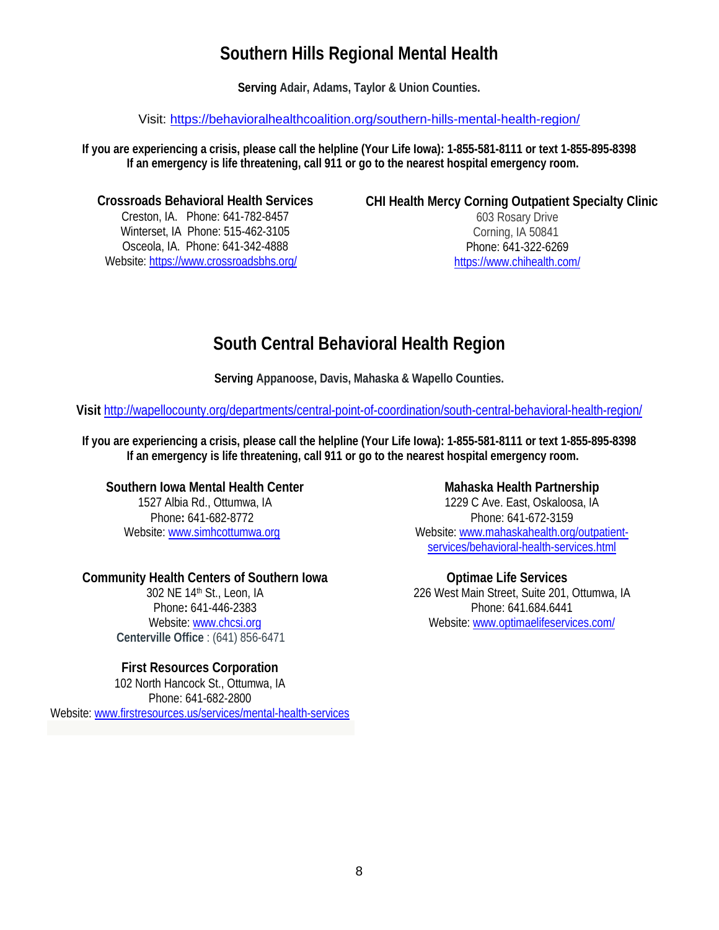# **Southern Hills Regional Mental Health**

**Serving Adair, Adams, Taylor & Union Counties.**

Visit:<https://behavioralhealthcoalition.org/southern-hills-mental-health-region/>

**If you are experiencing a crisis, please call the helpline (Your Life Iowa): 1-855-581-8111 or text 1-855-895-8398 If an emergency is life threatening, call 911 or go to the nearest hospital emergency room.**

#### **Crossroads Behavioral Health Services**

Creston, IA. Phone: 641-782-8457 Winterset, IA Phone: 515-462-3105 Osceola, IA. Phone: 641-342-4888 Website:<https://www.crossroadsbhs.org/>

#### **CHI Health Mercy Corning Outpatient Specialty Clinic**

603 Rosary Drive Corning, IA 50841 Phone: [641-322-6269](tel:641-322-6269) <https://www.chihealth.com/>

# **South Central Behavioral Health Region**

**Serving Appanoose, Davis, Mahaska & Wapello Counties.**

**Visit** <http://wapellocounty.org/departments/central-point-of-coordination/south-central-behavioral-health-region/>

**If you are experiencing a crisis, please call the helpline (Your Life Iowa): 1-855-581-8111 or text 1-855-895-8398 If an emergency is life threatening, call 911 or go to the nearest hospital emergency room.**

## **Southern Iowa Mental Health Center**

1527 Albia Rd., Ottumwa, IA Phone**:** 641-682-8772 Website: [www.simhcottumwa.org](http://www.simhcottumwa.org/)

## **Community Health Centers of Southern Iowa**

302 NE 14th St., Leon, IA Phone**:** 641-446-2383 Website: [www.chcsi.org](http://www.chcsi.org/) **Centerville Office** : (641) 856-6471

#### **First Resources Corporation**

102 North Hancock St., Ottumwa, IA Phone: 641-682-2800 Website[: www.firstresources.us/services/mental-health-services](http://www.firstresources.us/services/mental-health-services)

#### **Mahaska Health Partnership**

1229 C Ave. East, Oskaloosa, IA Phone: 641-672-3159 Website: [www.mahaskahealth.org/outpatient](http://www.mahaskahealth.org/outpatient-services/behavioral-health-services.html)[services/behavioral-health-services.html](http://www.mahaskahealth.org/outpatient-services/behavioral-health-services.html)

## **Optimae Life Services**

226 West Main Street, Suite 201, Ottumwa, IA Phone[: 641.684.6441](tel:+1.641.684.6441) Website: [www.optimaelifeservices.com/](http://www.optimaelifeservices.com/)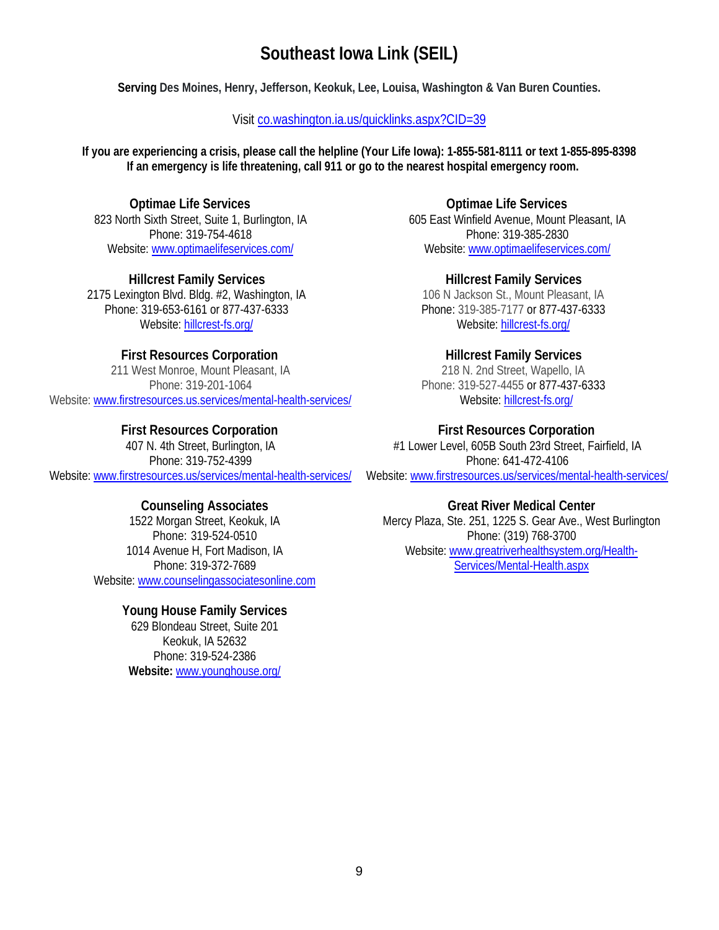# **Southeast Iowa Link (SEIL)**

**Serving Des Moines, Henry, Jefferson, Keokuk, Lee, Louisa, Washington & Van Buren Counties.**

#### Visit [co.washington.ia.us/quicklinks.aspx?CID=39](http://co.washington.ia.us/quicklinks.aspx?CID=39)

**If you are experiencing a crisis, please call the helpline (Your Life Iowa): 1-855-581-8111 or text 1-855-895-8398 If an emergency is life threatening, call 911 or go to the nearest hospital emergency room.**

**Optimae Life Services** 823 North Sixth Street, Suite 1, Burlington, IA Phone: [319-754-4618](tel:+1.319.754.4618) Website: [www.optimaelifeservices.com/](http://www.optimaelifeservices.com/)

**Hillcrest Family Services** 2175 Lexington Blvd. Bldg. #2, Washington, IA Phone: 319-653-6161 or 877-437-6333 Website: [hillcrest-fs.org/](http://hillcrest-fs.org/)

#### **First Resources Corporation**

211 West Monroe, Mount Pleasant, IA Phone: 319-201-1064 Website: [www.firstresources.us.services/mental-health-services/](http://www.firstresources.us.services/mental-health-services/)

#### **First Resources Corporation**

407 N. 4th Street, Burlington, IA Phone: 319-752-4399 Website: [www.firstresources.us/services/mental-health-services/](http://www.firstresources.us/services/mental-health-services/)

#### **Counseling Associates**

1522 Morgan Street, Keokuk, IA Phone: 319-524-0510 1014 Avenue H, Fort Madison, IA Phone: 319-372-7689 Website[: www.counselingassociatesonline.com](http://www.counselingassociatesonline.com/)

#### **Young House Family Services**

629 Blondeau Street, Suite 201 Keokuk, IA 52632 Phone: 319-524-2386 **Website:** [www.younghouse.org/](http://www.younghouse.org/)

**Optimae Life Services** 605 East Winfield Avenue, Mount Pleasant, IA Phone: [319-385-2830](tel:+1.319.385.2830) Website: [www.optimaelifeservices.com/](http://www.optimaelifeservices.com/)

**Hillcrest Family Services** 106 N Jackson St., Mount Pleasant, IA Phone: 319-385-7177 or 877-437-6333 Website: [hillcrest-fs.org/](http://hillcrest-fs.org/)

#### **Hillcrest Family Services**

218 N. 2nd Street, Wapello, IA Phone: 319-527-4455 or 877-437-6333 Website: [hillcrest-fs.org/](http://hillcrest-fs.org/)

#### **First Resources Corporation**

#1 Lower Level, 605B South 23rd Street, Fairfield, IA Phone: 641-472-4106 Website[: www.firstresources.us/services/mental-health-services/](http://www.firstresources.us/services/mental-health-services/)

#### **Great River Medical Center**

Mercy Plaza, Ste. 251, 1225 S. Gear Ave., West Burlington Phone: (319) 768-3700 Website: [www.greatriverhealthsystem.org/Health-](http://www.greatriverhealthsystem.org/Health-Services/Mental-Health.aspx)[Services/Mental-Health.aspx](http://www.greatriverhealthsystem.org/Health-Services/Mental-Health.aspx)